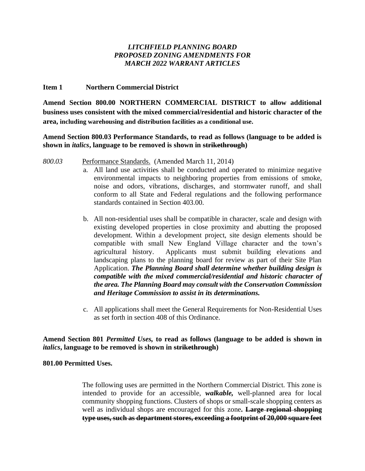# *LITCHFIELD PLANNING BOARD PROPOSED ZONING AMENDMENTS FOR MARCH 2022 WARRANT ARTICLES*

### **Item 1 Northern Commercial District**

**Amend Section 800.00 NORTHERN COMMERCIAL DISTRICT to allow additional business uses consistent with the mixed commercial/residential and historic character of the area, including warehousing and distribution facilities as a conditional use.**

# **Amend Section 800.03 Performance Standards, to read as follows (language to be added is shown in** *italics***, language to be removed is shown in strikethrough)**

- *800.03* Performance Standards. (Amended March 11, 2014)
	- a. All land use activities shall be conducted and operated to minimize negative environmental impacts to neighboring properties from emissions of smoke, noise and odors, vibrations, discharges, and stormwater runoff, and shall conform to all State and Federal regulations and the following performance standards contained in Section 403.00.
	- b. All non-residential uses shall be compatible in character, scale and design with existing developed properties in close proximity and abutting the proposed development. Within a development project, site design elements should be compatible with small New England Village character and the town's agricultural history. Applicants must submit building elevations and landscaping plans to the planning board for review as part of their Site Plan Application. *The Planning Board shall determine whether building design is compatible with the mixed commercial/residential and historic character of the area. The Planning Board may consult with the Conservation Commission and Heritage Commission to assist in its determinations.*
	- c. All applications shall meet the General Requirements for Non-Residential Uses as set forth in section 408 of this Ordinance.

# **Amend Section 801** *Permitted Uses,* **to read as follows (language to be added is shown in**  *italics***, language to be removed is shown in strikethrough)**

# **801.00 Permitted Uses.**

The following uses are permitted in the Northern Commercial District. This zone is intended to provide for an accessible, *walkable,* well-planned area for local community shopping functions. Clusters of shops or small-scale shopping centers as well as individual shops are encouraged for this zone**. Large regional shopping type uses, such as department stores, exceeding a footprint of 20,000 square feet**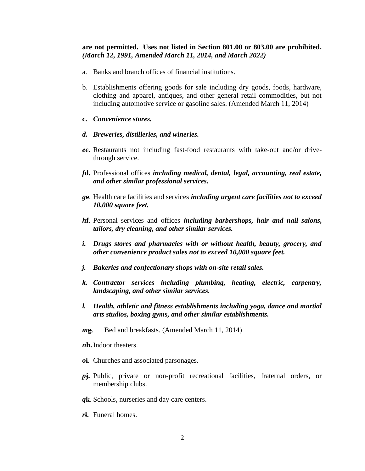#### **are not permitted. Uses not listed in Section 801.00 or 803.00 are prohibited.**  *(March 12, 1991, Amended March 11, 2014, and March 2022)*

- a. Banks and branch offices of financial institutions.
- b. Establishments offering goods for sale including dry goods, foods, hardware, clothing and apparel, antiques, and other general retail commodities, but not including automotive service or gasoline sales. (Amended March 11, 2014)
- **c.** *Convenience stores.*
- *d. Breweries, distilleries, and wineries.*
- *e***c**. Restaurants not including fast-food restaurants with take-out and/or drivethrough service.
- *f***d.** Professional offices *including medical, dental, legal, accounting, real estate, and other similar professional services.*
- *g***e**. Health care facilities and services *including urgent care facilities not to exceed 10,000 square feet.*
- *h***f**. Personal services and offices *including barbershops, hair and nail salons, tailors, dry cleaning, and other similar services.*
- *i. Drugs stores and pharmacies with or without health, beauty, grocery, and other convenience product sales not to exceed 10,000 square feet.*
- *j. Bakeries and confectionary shops with on-site retail sales.*
- *k. Contractor services including plumbing, heating, electric, carpentry, landscaping, and other similar services.*
- *l. Health, athletic and fitness establishments including yoga, dance and martial arts studios, boxing gyms, and other similar establishments.*
- *m***g**. Bed and breakfasts*.* (Amended March 11, 2014)

*n***h.**Indoor theaters.

- *o***i**. Churches and associated parsonages.
- *p***j.** Public, private or non-profit recreational facilities, fraternal orders, or membership clubs.
- *q***k**. Schools, nurseries and day care centers.
- *r***l.** Funeral homes.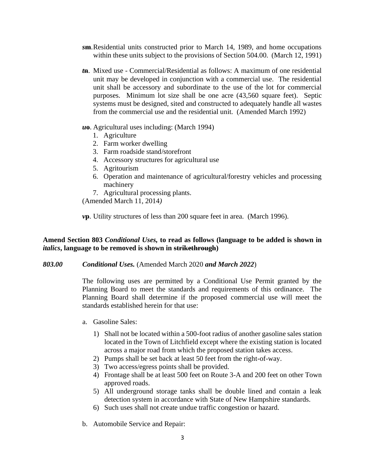- *s***m**.Residential units constructed prior to March 14, 1989, and home occupations within these units subject to the provisions of Section 504.00. (March 12, 1991)
- *t***n**. Mixed use Commercial/Residential as follows: A maximum of one residential unit may be developed in conjunction with a commercial use. The residential unit shall be accessory and subordinate to the use of the lot for commercial purposes. Minimum lot size shall be one acre (43,560 square feet). Septic systems must be designed, sited and constructed to adequately handle all wastes from the commercial use and the residential unit. (Amended March 1992)
- *u***o**. Agricultural uses including: (March 1994)
	- 1. Agriculture
	- 2. Farm worker dwelling
	- 3. Farm roadside stand/storefront
	- 4. Accessory structures for agricultural use
	- 5. Agritourism
	- 6. Operation and maintenance of agricultural/forestry vehicles and processing machinery
	- 7. Agricultural processing plants.

(Amended March 11, 2014*)*

*v***p**. Utility structures of less than 200 square feet in area. (March 1996).

# **Amend Section 803** *Conditional Uses,* **to read as follows (language to be added is shown in**  *italics***, language to be removed is shown in strikethrough)**

*803.00 Conditional Uses.* (Amended March 2020 *and March 2022*)

The following uses are permitted by a Conditional Use Permit granted by the Planning Board to meet the standards and requirements of this ordinance. The Planning Board shall determine if the proposed commercial use will meet the standards established herein for that use:

- a. Gasoline Sales:
	- 1) Shall not be located within a 500-foot radius of another gasoline sales station located in the Town of Litchfield except where the existing station is located across a major road from which the proposed station takes access.
	- 2) Pumps shall be set back at least 50 feet from the right-of-way.
	- 3) Two access/egress points shall be provided.
	- 4) Frontage shall be at least 500 feet on Route 3-A and 200 feet on other Town approved roads.
	- 5) All underground storage tanks shall be double lined and contain a leak detection system in accordance with State of New Hampshire standards.
	- 6) Such uses shall not create undue traffic congestion or hazard.
- b. Automobile Service and Repair: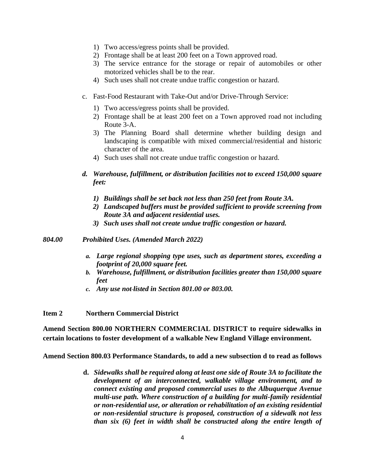- 1) Two access/egress points shall be provided.
- 2) Frontage shall be at least 200 feet on a Town approved road.
- 3) The service entrance for the storage or repair of automobiles or other motorized vehicles shall be to the rear.
- 4) Such uses shall not create undue traffic congestion or hazard.
- c. Fast-Food Restaurant with Take-Out and/or Drive-Through Service:
	- 1) Two access/egress points shall be provided.
	- 2) Frontage shall be at least 200 feet on a Town approved road not including Route 3-A.
	- 3) The Planning Board shall determine whether building design and landscaping is compatible with mixed commercial/residential and historic character of the area.
	- 4) Such uses shall not create undue traffic congestion or hazard.

# *d. Warehouse, fulfillment, or distribution facilities not to exceed 150,000 square feet:*

- *1) Buildings shall be set back not less than 250 feet from Route 3A.*
- *2) Landscaped buffers must be provided sufficient to provide screening from Route 3A and adjacent residential uses.*
- *3) Such uses shall not create undue traffic congestion or hazard.*
- *804.00 Prohibited Uses. (Amended March 2022)*
	- *a. Large regional shopping type uses, such as department stores, exceeding a footprint of 20,000 square feet.*
	- *b. Warehouse, fulfillment, or distribution facilities greater than 150,000 square feet*
	- *c. Any use not listed in Section 801.00 or 803.00.*

**Item 2 Northern Commercial District**

**Amend Section 800.00 NORTHERN COMMERCIAL DISTRICT to require sidewalks in certain locations to foster development of a walkable New England Village environment.**

**Amend Section 800.03 Performance Standards, to add a new subsection d to read as follows** 

**d.** *Sidewalks shall be required along at least one side of Route 3A to facilitate the development of an interconnected, walkable village environment, and to connect existing and proposed commercial uses to the Albuquerque Avenue multi-use path. Where construction of a building for multi-family residential or non-residential use, or alteration or rehabilitation of an existing residential or non-residential structure is proposed, construction of a sidewalk not less than six (6) feet in width shall be constructed along the entire length of*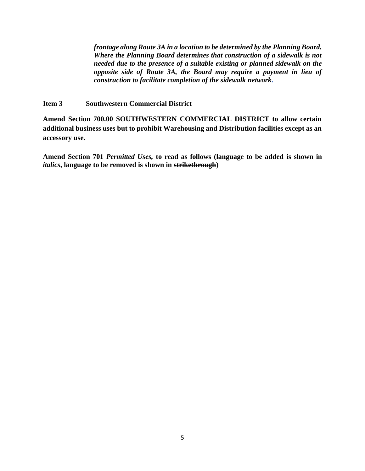*frontage along Route 3A in a location to be determined by the Planning Board. Where the Planning Board determines that construction of a sidewalk is not needed due to the presence of a suitable existing or planned sidewalk on the opposite side of Route 3A, the Board may require a payment in lieu of construction to facilitate completion of the sidewalk network.* 

### **Item 3 Southwestern Commercial District**

**Amend Section 700.00 SOUTHWESTERN COMMERCIAL DISTRICT to allow certain additional business uses but to prohibit Warehousing and Distribution facilities except as an accessory use.** 

**Amend Section 701** *Permitted Uses,* **to read as follows (language to be added is shown in**  *italics***, language to be removed is shown in strikethrough)**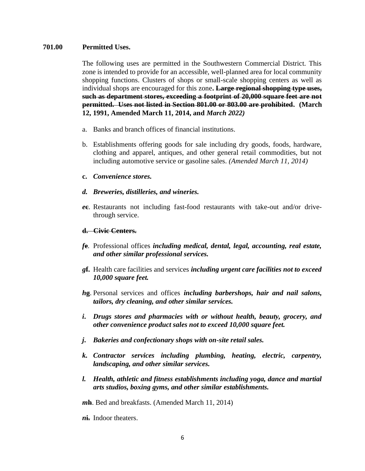# **701.00 Permitted Uses.**

The following uses are permitted in the Southwestern Commercial District. This zone is intended to provide for an accessible, well-planned area for local community shopping functions. Clusters of shops or small-scale shopping centers as well as individual shops are encouraged for this zone**. Large regional shopping type uses, such as department stores, exceeding a footprint of 20,000 square feet are not permitted. Uses not listed in Section 801.00 or 803.00 are prohibited. (March 12, 1991, Amended March 11, 2014, and** *March 2022)*

- a. Banks and branch offices of financial institutions.
- b. Establishments offering goods for sale including dry goods, foods, hardware, clothing and apparel, antiques, and other general retail commodities, but not including automotive service or gasoline sales. *(Amended March 11, 2014)*
- **c.** *Convenience stores.*
- *d. Breweries, distilleries, and wineries.*
- *e***c**. Restaurants not including fast-food restaurants with take-out and/or drivethrough service.

### **d. Civic Centers.**

- *f***e**. Professional offices *including medical, dental, legal, accounting, real estate, and other similar professional services.*
- *g***f.** Health care facilities and services *including urgent care facilities not to exceed 10,000 square feet.*
- *h***g**. Personal services and offices *including barbershops, hair and nail salons, tailors, dry cleaning, and other similar services.*
- *i***.** *Drugs stores and pharmacies with or without health, beauty, grocery, and other convenience product sales not to exceed 10,000 square feet.*
- *j***.** *Bakeries and confectionary shops with on-site retail sales.*
- *k. Contractor services including plumbing, heating, electric, carpentry, landscaping, and other similar services.*
- *l. Health, athletic and fitness establishments including yoga, dance and martial arts studios, boxing gyms, and other similar establishments.*

*m***h**. Bed and breakfasts. (Amended March 11, 2014)

*n***i.** Indoor theaters.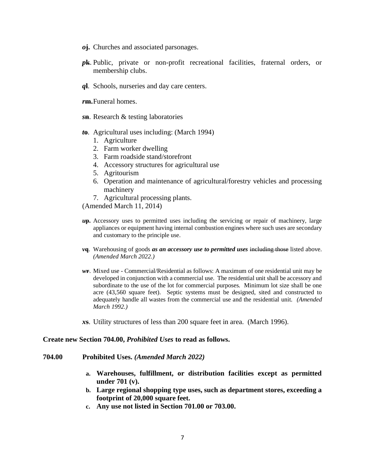- *o***j.** Churches and associated parsonages.
- *p***k**. Public, private or non-profit recreational facilities, fraternal orders, or membership clubs.
- *q***l**. Schools, nurseries and day care centers.
- *r***m.**Funeral homes.
- *s***n**. Research & testing laboratories
- *t***o**. Agricultural uses including: (March 1994)
	- 1. Agriculture
	- 2. Farm worker dwelling
	- 3. Farm roadside stand/storefront
	- 4. Accessory structures for agricultural use
	- 5. Agritourism
	- 6. Operation and maintenance of agricultural/forestry vehicles and processing machinery
	- 7. Agricultural processing plants.

(Amended March 11, 2014)

- *u***p.** Accessory uses to permitted uses including the servicing or repair of machinery, large appliances or equipment having internal combustion engines where such uses are secondary and customary to the principle use.
- *v***q**. Warehousing of goods *as an accessory use to permitted uses* including those listed above. *(Amended March 2022.)*
- *w***r**. Mixed use Commercial/Residential as follows: A maximum of one residential unit may be developed in conjunction with a commercial use. The residential unit shall be accessory and subordinate to the use of the lot for commercial purposes. Minimum lot size shall be one acre (43,560 square feet). Septic systems must be designed, sited and constructed to adequately handle all wastes from the commercial use and the residential unit. *(Amended March 1992.)*
- *x***s**. Utility structures of less than 200 square feet in area. (March 1996).

#### **Create new Section 704.00,** *Prohibited Uses* **to read as follows.**

- **704.00 Prohibited Uses.** *(Amended March 2022)*
	- **a. Warehouses, fulfillment, or distribution facilities except as permitted under 701 (v).**
	- **b. Large regional shopping type uses, such as department stores, exceeding a footprint of 20,000 square feet.**
	- **c. Any use not listed in Section 701.00 or 703.00.**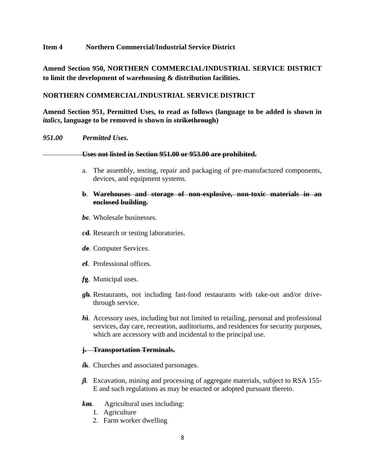# **Item 4 Northern Commercial/Industrial Service District**

**Amend Section 950, NORTHERN COMMERCIAL/INDUSTRIAL SERVICE DISTRICT to limit the development of warehousing & distribution facilities.**

# **NORTHERN COMMERCIAL/INDUSTRIAL SERVICE DISTRICT**

**Amend Section 951, Permitted Uses***,* **to read as follows (language to be added is shown in**  *italics***, language to be removed is shown in strikethrough)**

### *951.00 Permitted Uses.*

#### **Uses not listed in Section 951.00 or 953.00 are prohibited.**

a. The assembly, testing, repair and packaging of pre-manufactured components, devices, and equipment systems.

# **b**. **Warehouses and storage of non-explosive, non-toxic materials in an enclosed building.**

- *b***c**. Wholesale businesses.
- *c***d**. Research or testing laboratories.
- *d***e**. Computer Services.
- *e***f**. Professional offices.
- *f***g**. Municipal uses.
- *g***h**. Restaurants, not including fast-food restaurants with take-out and/or drivethrough service.
- *h***i**. Accessory uses, including but not limited to retailing, personal and professional services, day care, recreation, auditoriums, and residences for security purposes, which are accessory with and incidental to the principal use.

# **j. Transportation Terminals.**

- *i***k**. Churches and associated parsonages.
- *j***l**. Excavation, mining and processing of aggregate materials, subject to RSA 155- E and such regulations as may be enacted or adopted pursuant thereto.
- *k***m**. Agricultural uses including:
	- 1. Agriculture
	- 2. Farm worker dwelling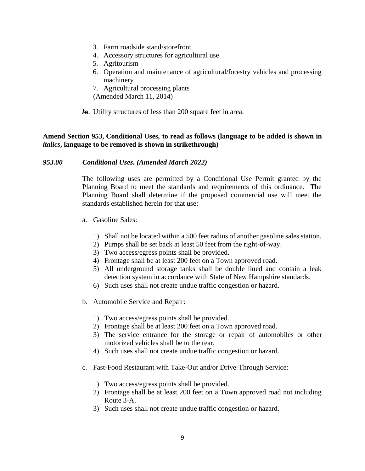- 3. Farm roadside stand/storefront
- 4. Accessory structures for agricultural use
- 5. Agritourism
- 6. Operation and maintenance of agricultural/forestry vehicles and processing machinery
- 7. Agricultural processing plants
- (Amended March 11, 2014)
- *l***n**. Utility structures of less than 200 square feet in area.

# **Amend Section 953, Conditional Uses***,* **to read as follows (language to be added is shown in**  *italics***, language to be removed is shown in strikethrough)**

# *953.00 Conditional Uses. (Amended March 2022)*

The following uses are permitted by a Conditional Use Permit granted by the Planning Board to meet the standards and requirements of this ordinance. The Planning Board shall determine if the proposed commercial use will meet the standards established herein for that use:

- a. Gasoline Sales:
	- 1) Shall not be located within a 500 feet radius of another gasoline sales station.
	- 2) Pumps shall be set back at least 50 feet from the right-of-way.
	- 3) Two access/egress points shall be provided.
	- 4) Frontage shall be at least 200 feet on a Town approved road.
	- 5) All underground storage tanks shall be double lined and contain a leak detection system in accordance with State of New Hampshire standards.
	- 6) Such uses shall not create undue traffic congestion or hazard.
- b. Automobile Service and Repair:
	- 1) Two access/egress points shall be provided.
	- 2) Frontage shall be at least 200 feet on a Town approved road.
	- 3) The service entrance for the storage or repair of automobiles or other motorized vehicles shall be to the rear.
	- 4) Such uses shall not create undue traffic congestion or hazard.
- c. Fast-Food Restaurant with Take-Out and/or Drive-Through Service:
	- 1) Two access/egress points shall be provided.
	- 2) Frontage shall be at least 200 feet on a Town approved road not including Route 3-A.
	- 3) Such uses shall not create undue traffic congestion or hazard.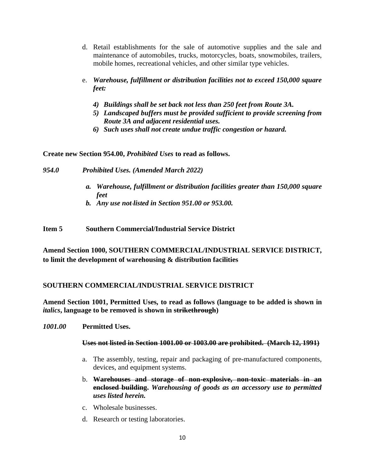- d. Retail establishments for the sale of automotive supplies and the sale and maintenance of automobiles, trucks, motorcycles, boats, snowmobiles, trailers, mobile homes, recreational vehicles, and other similar type vehicles.
- e. *Warehouse, fulfillment or distribution facilities not to exceed 150,000 square feet:*
	- *4) Buildings shall be set back not less than 250 feet from Route 3A.*
	- *5) Landscaped buffers must be provided sufficient to provide screening from Route 3A and adjacent residential uses.*
	- *6) Such uses shall not create undue traffic congestion or hazard.*

**Create new Section 954.00,** *Prohibited Uses* **to read as follows.**

- *954.0 Prohibited Uses. (Amended March 2022)*
	- *a. Warehouse, fulfillment or distribution facilities greater than 150,000 square feet*
	- *b. Any use not listed in Section 951.00 or 953.00.*

**Item 5 Southern Commercial/Industrial Service District**

**Amend Section 1000, SOUTHERN COMMERCIAL/INDUSTRIAL SERVICE DISTRICT, to limit the development of warehousing & distribution facilities**

# **SOUTHERN COMMERCIAL/INDUSTRIAL SERVICE DISTRICT**

**Amend Section 1001, Permitted Uses***,* **to read as follows (language to be added is shown in**  *italics***, language to be removed is shown in strikethrough)**

*1001.00* **Permitted Uses.**

# **Uses not listed in Section 1001.00 or 1003.00 are prohibited. (March 12, 1991)**

- a. The assembly, testing, repair and packaging of pre-manufactured components, devices, and equipment systems.
- b. **Warehouses and storage of non-explosive, non-toxic materials in an enclosed building.** *Warehousing of goods as an accessory use to permitted uses listed herein.*
- c. Wholesale businesses.
- d. Research or testing laboratories.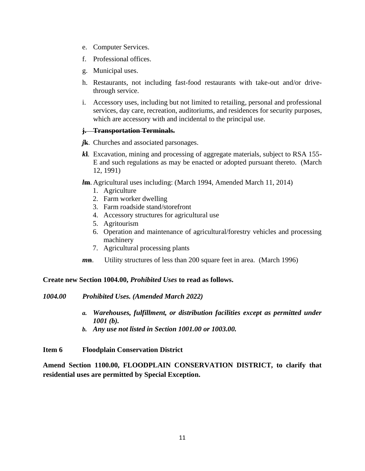- e. Computer Services.
- f. Professional offices.
- g. Municipal uses.
- h. Restaurants, not including fast-food restaurants with take-out and/or drivethrough service.
- i. Accessory uses, including but not limited to retailing, personal and professional services, day care, recreation, auditoriums, and residences for security purposes, which are accessory with and incidental to the principal use.

# **j. Transportation Terminals.**

- *j***k**. Churches and associated parsonages.
- *k***l**. Excavation, mining and processing of aggregate materials, subject to RSA 155- E and such regulations as may be enacted or adopted pursuant thereto. (March 12, 1991)

*l***m**. Agricultural uses including: (March 1994, Amended March 11, 2014)

- 1. Agriculture
- 2. Farm worker dwelling
- 3. Farm roadside stand/storefront
- 4. Accessory structures for agricultural use
- 5. Agritourism
- 6. Operation and maintenance of agricultural/forestry vehicles and processing machinery
- 7. Agricultural processing plants
- *m***n**. Utility structures of less than 200 square feet in area. (March 1996)

# **Create new Section 1004.00,** *Prohibited Uses* **to read as follows.**

- *1004.00 Prohibited Uses. (Amended March 2022)*
	- *a. Warehouses, fulfillment, or distribution facilities except as permitted under 1001 (b).*
	- *b. Any use not listed in Section 1001.00 or 1003.00.*

# **Item 6 Floodplain Conservation District**

**Amend Section 1100.00, FLOODPLAIN CONSERVATION DISTRICT, to clarify that residential uses are permitted by Special Exception.**